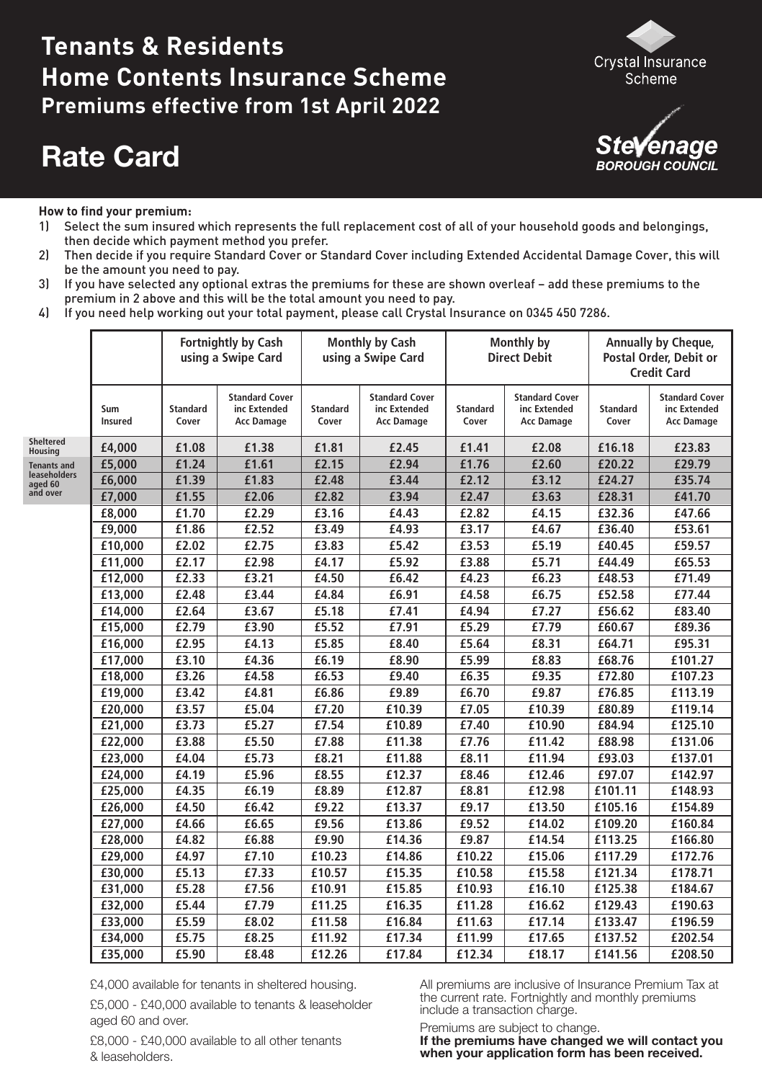# **Tenants & Residents Home Contents Insurance Scheme Premiums effective from 1st April 2022**

# **Rate Card**





#### **How to find your premium:**

- 1) Select the sum insured which represents the full replacement cost of all of your household goods and belongings, then decide which payment method you prefer.
- 2) Then decide if you require Standard Cover or Standard Cover including Extended Accidental Damage Cover, this will be the amount you need to pay.
- 3) If you have selected any optional extras the premiums for these are shown overleaf add these premiums to the premium in 2 above and this will be the total amount you need to pay.
- 4) If you need help working out your total payment, please call Crystal Insurance on 0345 450 7286.

|                             |                       |                          | <b>Fortnightly by Cash</b><br>using a Swipe Card    | <b>Monthly by Cash</b><br>using a Swipe Card |                                                            | Monthly by<br><b>Direct Debit</b> |                                                            | Annually by Cheque,<br>Postal Order, Debit or<br><b>Credit Card</b> |                                                            |
|-----------------------------|-----------------------|--------------------------|-----------------------------------------------------|----------------------------------------------|------------------------------------------------------------|-----------------------------------|------------------------------------------------------------|---------------------------------------------------------------------|------------------------------------------------------------|
|                             | Sum<br><b>Insured</b> | <b>Standard</b><br>Cover | <b>Standard Cover</b><br>inc Extended<br>Acc Damage | <b>Standard</b><br>Cover                     | <b>Standard Cover</b><br>inc Extended<br><b>Acc Damage</b> | <b>Standard</b><br>Cover          | <b>Standard Cover</b><br>inc Extended<br><b>Acc Damage</b> | <b>Standard</b><br>Cover                                            | <b>Standard Cover</b><br>inc Extended<br><b>Acc Damage</b> |
| <b>Sheltered</b><br>Housing | £4,000                | £1.08                    | £1.38                                               | £1.81                                        | £2.45                                                      | £1.41                             | £2.08                                                      | £16.18                                                              | £23.83                                                     |
| <b>Tenants and</b>          | £5,000                | £1.24                    | £1.61                                               | £2.15                                        | £2.94                                                      | £1.76                             | £2.60                                                      | £20.22                                                              | £29.79                                                     |
| leaseholders<br>aged 60     | £6,000                | £1.39                    | £1.83                                               | £2.48                                        | £3.44                                                      | £2.12                             | £3.12                                                      | £24.27                                                              | £35.74                                                     |
| and over                    | £7,000                | £1.55                    | £2.06                                               | £2.82                                        | £3.94                                                      | £2.47                             | £3.63                                                      | £28.31                                                              | £41.70                                                     |
|                             | £8,000                | £1.70                    | £2.29                                               | £3.16                                        | £4.43                                                      | £2.82                             | £4.15                                                      | £32.36                                                              | £47.66                                                     |
|                             | £9,000                | £1.86                    | £2.52                                               | £3.49                                        | £4.93                                                      | £3.17                             | £4.67                                                      | £36.40                                                              | £53.61                                                     |
|                             | £10,000               | £2.02                    | £2.75                                               | £3.83                                        | £5.42                                                      | £3.53                             | £5.19                                                      | £40.45                                                              | £59.57                                                     |
|                             | £11,000               | £2.17                    | £2.98                                               | £4.17                                        | £5.92                                                      | £3.88                             | £5.71                                                      | £44.49                                                              | £65.53                                                     |
|                             | £12,000               | £2.33                    | £3.21                                               | £4.50                                        | £6.42                                                      | £4.23                             | £6.23                                                      | £48.53                                                              | £71.49                                                     |
|                             | £13,000               | £2.48                    | £3.44                                               | £4.84                                        | £6.91                                                      | £4.58                             | £6.75                                                      | £52.58                                                              | £77.44                                                     |
|                             | £14,000               | £2.64                    | £3.67                                               | £5.18                                        | £7.41                                                      | £4.94                             | £7.27                                                      | £56.62                                                              | £83.40                                                     |
|                             | £15,000               | £2.79                    | £3.90                                               | £5.52                                        | £7.91                                                      | £5.29                             | £7.79                                                      | £60.67                                                              | £89.36                                                     |
|                             | £16,000               | £2.95                    | £4.13                                               | £5.85                                        | £8.40                                                      | £5.64                             | £8.31                                                      | £64.71                                                              | £95.31                                                     |
|                             | £17,000               | £3.10                    | £4.36                                               | £6.19                                        | £8.90                                                      | £5.99                             | £8.83                                                      | £68.76                                                              | £101.27                                                    |
|                             | £18,000               | £3.26                    | £4.58                                               | £6.53                                        | £9.40                                                      | £6.35                             | £9.35                                                      | £72.80                                                              | £107.23                                                    |
|                             | £19,000               | £3.42                    | £4.81                                               | £6.86                                        | £9.89                                                      | £6.70                             | £9.87                                                      | £76.85                                                              | £113.19                                                    |
|                             | £20,000               | £3.57                    | £5.04                                               | £7.20                                        | £10.39                                                     | £7.05                             | £10.39                                                     | £80.89                                                              | £119.14                                                    |
|                             | £21,000               | £3.73                    | £5.27                                               | £7.54                                        | £10.89                                                     | £7.40                             | £10.90                                                     | £84.94                                                              | £125.10                                                    |
|                             | £22,000               | £3.88                    | £5.50                                               | £7.88                                        | £11.38                                                     | £7.76                             | £11.42                                                     | £88.98                                                              | £131.06                                                    |
|                             | £23,000               | £4.04                    | £5.73                                               | £8.21                                        | £11.88                                                     | £8.11                             | £11.94                                                     | £93.03                                                              | £137.01                                                    |
|                             | £24,000               | £4.19                    | £5.96                                               | £8.55                                        | £12.37                                                     | £8.46                             | £12.46                                                     | £97.07                                                              | £142.97                                                    |
|                             | £25,000               | £4.35                    | £6.19                                               | £8.89                                        | £12.87                                                     | £8.81                             | £12.98                                                     | £101.11                                                             | £148.93                                                    |
|                             | £26,000               | £4.50                    | £6.42                                               | £9.22                                        | £13.37                                                     | £9.17                             | £13.50                                                     | £105.16                                                             | £154.89                                                    |
|                             | £27,000               | £4.66                    | £6.65                                               | £9.56                                        | £13.86                                                     | £9.52                             | £14.02                                                     | £109.20                                                             | £160.84                                                    |
|                             | £28,000               | £4.82                    | £6.88                                               | £9.90                                        | £14.36                                                     | £9.87                             | £14.54                                                     | £113.25                                                             | £166.80                                                    |
|                             | £29,000               | £4.97                    | £7.10                                               | £10.23                                       | £14.86                                                     | £10.22                            | £15.06                                                     | £117.29                                                             | £172.76                                                    |
|                             | £30,000               | £5.13                    | £7.33                                               | £10.57                                       | £15.35                                                     | £10.58                            | £15.58                                                     | £121.34                                                             | £178.71                                                    |
|                             | £31,000               | £5.28                    | £7.56                                               | £10.91                                       | £15.85                                                     | £10.93                            | £16.10                                                     | £125.38                                                             | £184.67                                                    |
|                             | £32,000               | £5.44                    | £7.79                                               | £11.25                                       | £16.35                                                     | £11.28                            | £16.62                                                     | £129.43                                                             | £190.63                                                    |
|                             | £33,000               | £5.59                    | £8.02                                               | £11.58                                       | £16.84                                                     | £11.63                            | £17.14                                                     | £133.47                                                             | £196.59                                                    |
|                             | £34,000               | £5.75                    | £8.25                                               | £11.92                                       | £17.34                                                     | £11.99                            | £17.65                                                     | £137.52                                                             | £202.54                                                    |
|                             | £35,000               | £5.90                    | £8.48                                               | £12.26                                       | £17.84                                                     | £12.34                            | £18.17                                                     | £141.56                                                             | £208.50                                                    |

£4,000 available for tenants in sheltered housing.

 £5,000 - £40,000 available to tenants & leaseholder aged 60 and over.

 £8,000 - £40,000 available to all other tenants & leaseholders.

 All premiums are inclusive of Insurance Premium Tax at the current rate. Fortnightly and monthly premiums include a transaction charge.

Premiums are subject to change.

 **when your application form has been received.If the premiums have changed we will contact you**